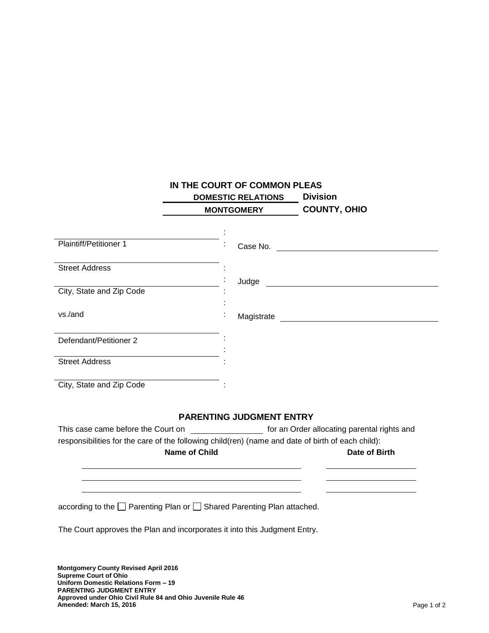|                                             | IN THE COURT OF COMMON PLEAS                                                                      |                                                                                                      |
|---------------------------------------------|---------------------------------------------------------------------------------------------------|------------------------------------------------------------------------------------------------------|
|                                             | <b>DOMESTIC RELATIONS</b>                                                                         | <b>Division</b>                                                                                      |
|                                             | <b>MONTGOMERY</b>                                                                                 | <b>COUNTY, OHIO</b>                                                                                  |
|                                             |                                                                                                   |                                                                                                      |
|                                             |                                                                                                   |                                                                                                      |
| <b>Plaintiff/Petitioner 1</b>               |                                                                                                   |                                                                                                      |
| <b>Street Address</b>                       |                                                                                                   |                                                                                                      |
|                                             |                                                                                                   |                                                                                                      |
| City, State and Zip Code                    |                                                                                                   |                                                                                                      |
|                                             |                                                                                                   |                                                                                                      |
| vs./and                                     |                                                                                                   |                                                                                                      |
|                                             |                                                                                                   |                                                                                                      |
| Defendant/Petitioner 2                      |                                                                                                   |                                                                                                      |
| <b>Street Address</b>                       |                                                                                                   |                                                                                                      |
|                                             |                                                                                                   |                                                                                                      |
| City, State and Zip Code                    |                                                                                                   |                                                                                                      |
|                                             | <b>PARENTING JUDGMENT ENTRY</b>                                                                   |                                                                                                      |
|                                             |                                                                                                   | This case came before the Court on _____________________ for an Order allocating parental rights and |
|                                             | responsibilities for the care of the following child(ren) (name and date of birth of each child): |                                                                                                      |
| <b>Name of Child</b>                        |                                                                                                   | Date of Birth                                                                                        |
|                                             |                                                                                                   |                                                                                                      |
|                                             | according to the □ Parenting Plan or □ Shared Parenting Plan attached.                            |                                                                                                      |
|                                             |                                                                                                   |                                                                                                      |
|                                             | The Court approves the Plan and incorporates it into this Judgment Entry.                         |                                                                                                      |
| <b>Montgomery County Revised April 2016</b> |                                                                                                   |                                                                                                      |